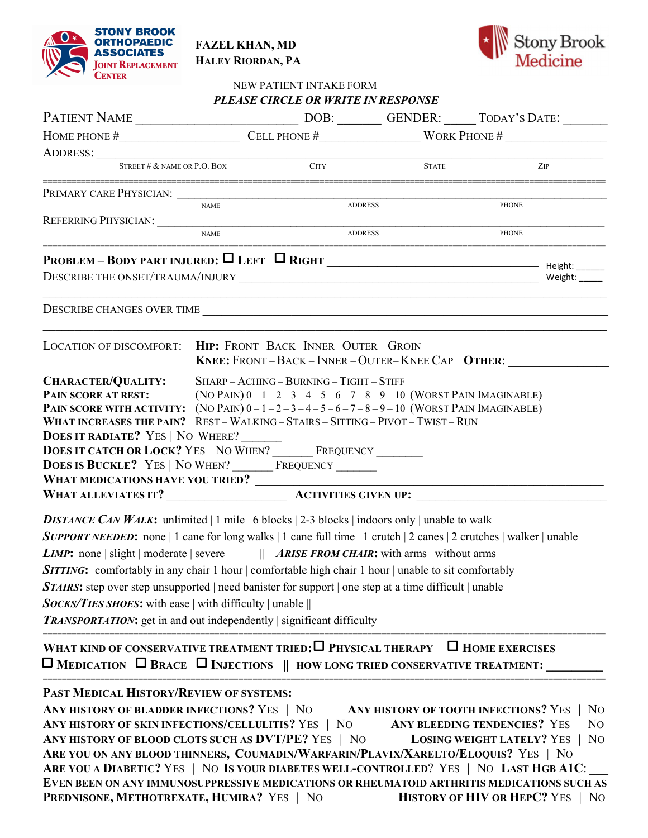



| <b>CENIER</b>                                             |                                                                                                                                                                                                                                                                            | NEW PATIENT INTAKE FORM<br>PLEASE CIRCLE OR WRITE IN RESPONSE |                                                           |                                                 |            |  |
|-----------------------------------------------------------|----------------------------------------------------------------------------------------------------------------------------------------------------------------------------------------------------------------------------------------------------------------------------|---------------------------------------------------------------|-----------------------------------------------------------|-------------------------------------------------|------------|--|
|                                                           |                                                                                                                                                                                                                                                                            |                                                               |                                                           |                                                 |            |  |
|                                                           |                                                                                                                                                                                                                                                                            |                                                               |                                                           | HOME PHONE $\#$ CELL PHONE $\#$ WORK PHONE $\#$ |            |  |
|                                                           |                                                                                                                                                                                                                                                                            |                                                               |                                                           |                                                 |            |  |
| STREET # $&$ name or P.O. Box                             |                                                                                                                                                                                                                                                                            | <b>CITY</b>                                                   | <b>STATE</b>                                              |                                                 | <b>ZIP</b> |  |
| PRIMARY CARE PHYSICIAN:                                   |                                                                                                                                                                                                                                                                            |                                                               |                                                           |                                                 |            |  |
|                                                           | <b>NAME</b>                                                                                                                                                                                                                                                                |                                                               | <b>ADDRESS</b>                                            | <b>PHONE</b>                                    |            |  |
|                                                           | <b>NAME</b>                                                                                                                                                                                                                                                                |                                                               | <b>ADDRESS</b>                                            | <b>PHONE</b>                                    |            |  |
|                                                           |                                                                                                                                                                                                                                                                            |                                                               |                                                           |                                                 | Weight:    |  |
|                                                           |                                                                                                                                                                                                                                                                            |                                                               |                                                           |                                                 |            |  |
| LOCATION OF DISCOMFORT: HIP: FRONT-BACK-INNER-OUTER-GROIN |                                                                                                                                                                                                                                                                            |                                                               | <b>KNEE: FRONT - BACK - INNER - OUTER-KNEE CAP OTHER:</b> |                                                 |            |  |
| CHARACTER/QUALITY:<br>PAIN SCORE AT REST:                 | SHARP-ACHING-BURNING-TIGHT-STIFF<br>(NO PAIN) $0-1-2-3-4-5-6-7-8-9-10$ (WORST PAIN IMAGINABLE)<br>PAIN SCORE WITH ACTIVITY: $(NO PAIN) 0-1-2-3-4-5-6-7-8-9-10 (WORST PAIN IMAGINABLE)$<br>WHAT INCREASES THE PAIN? REST - WALKING - STAIRS - SITTING - PIVOT - TWIST - RUN |                                                               |                                                           |                                                 |            |  |

FAZEL KHAN, MD HALEY RIORDAN, PA

DOES IT RADIATE? YES | NO WHERE? DOES IT CATCH OR LOCK? YES | NO WHEN? \_\_\_\_\_\_\_\_\_ FREQUENCY \_\_\_\_\_\_ DOES IS BUCKLE? YES | NO WHEN? FREQUENCY

WHAT MEDICATIONS HAVE YOU TRIED? \_\_\_\_\_\_\_\_\_\_\_\_\_\_\_\_\_\_\_\_\_\_\_\_\_\_\_\_\_\_\_\_\_\_\_\_\_\_\_\_\_\_\_\_\_\_\_\_\_\_\_\_\_\_\_ WHAT ALLEVIATES IT? ACTIVITIES GIVEN UP:

**DISTANCE CAN WALK:** unlimited | 1 mile | 6 blocks | 2-3 blocks | indoors only | unable to walk **SUPPORT NEEDED:** none | 1 cane for long walks | 1 cane full time | 1 crutch | 2 canes | 2 crutches | walker | unable *LIMP*: none | slight | moderate | severe  $||$  *ARISE FROM CHAIR*: with arms | without arms SITTING: comfortably in any chair 1 hour | comfortable high chair 1 hour | unable to sit comfortably **STAIRS:** step over step unsupported | need banister for support | one step at a time difficult | unable  $Socks/TIES$  SHOES: with ease | with difficulty | unable || **TRANSPORTATION:** get in and out independently | significant difficulty

======================================================================================================================

WHAT KIND OF CONSERVATIVE TREATMENT TRIED:  $\Box$  Physical therapy  $\Box$  Home exercises  $\Box$  MEDICATION  $\Box$  BRACE  $\Box$  INJECTIONS  $\parallel$  HOW LONG TRIED CONSERVATIVE TREATMENT:

## PAST MEDICAL HISTORY/REVIEW OF SYSTEMS:

ANY HISTORY OF BLADDER INFECTIONS? YES | NO ANY HISTORY OF TOOTH INFECTIONS? YES | NO ANY HISTORY OF SKIN INFECTIONS/CELLULITIS? YES | NO ANY BLEEDING TENDENCIES? YES | NO ANY HISTORY OF BLOOD CLOTS SUCH AS DVT/PE? YES | NO LOSING WEIGHT LATELY? YES | NO ARE YOU ON ANY BLOOD THINNERS, COUMADIN/WARFARIN/PLAVIX/XARELTO/ELOQUIS? YES | NO ARE YOU A DIABETIC? YES | NO IS YOUR DIABETES WELL-CONTROLLED? YES | NO LAST HGB A1C: EVEN BEEN ON ANY IMMUNOSUPPRESSIVE MEDICATIONS OR RHEUMATOID ARTHRITIS MEDICATIONS SUCH AS PREDNISONE, METHOTREXATE, HUMIRA? YES | NO HISTORY OF HIV OR HEPC? YES | NO

======================================================================================================================